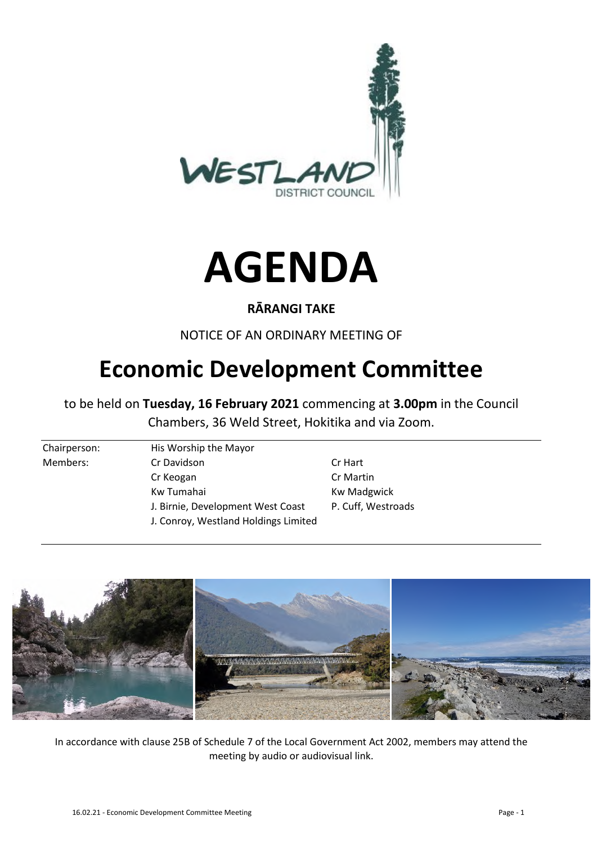



#### **RĀRANGI TAKE**

NOTICE OF AN ORDINARY MEETING OF

# **Economic Development Committee**

to be held on **Tuesday, 16 February 2021** commencing at **3.00pm** in the Council Chambers, 36 Weld Street, Hokitika and via Zoom.

- Chairperson: His Worship the Mayor Members: Cr Davidson Cr Hart Cr Keogan Cr Martin Kw Tumahai **Kw Madgwick** J. Birnie, Development West Coast P. Cuff, Westroads J. Conroy, Westland Holdings Limited
	-



In accordance with clause 25B of Schedule 7 of the Local Government Act 2002, members may attend the meeting by audio or audiovisual link.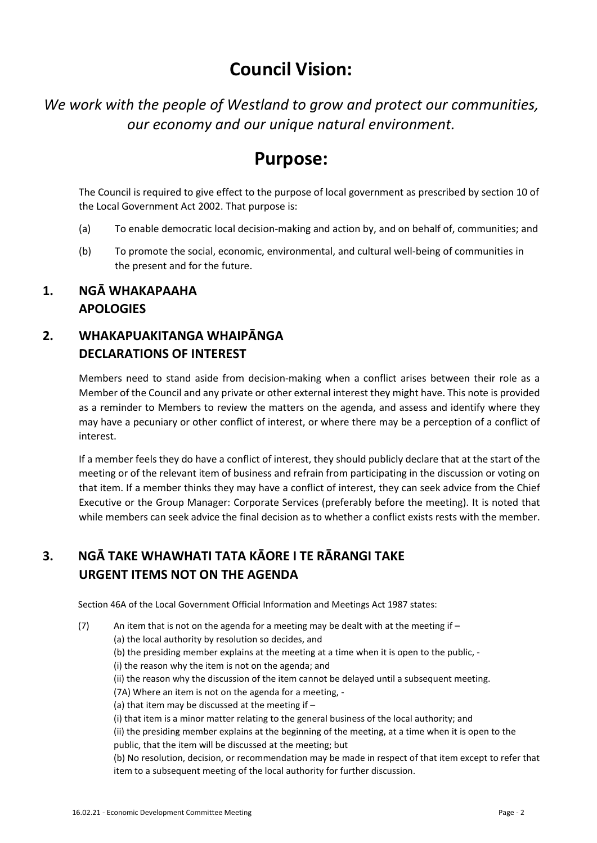# **Council Vision:**

*We work with the people of Westland to grow and protect our communities, our economy and our unique natural environment.* 

# **Purpose:**

The Council is required to give effect to the purpose of local government as prescribed by section 10 of the Local Government Act 2002. That purpose is:

- (a) To enable democratic local decision-making and action by, and on behalf of, communities; and
- (b) To promote the social, economic, environmental, and cultural well-being of communities in the present and for the future.

#### **1. NGĀ WHAKAPAAHA APOLOGIES**

### **2. WHAKAPUAKITANGA WHAIPĀNGA DECLARATIONS OF INTEREST**

Members need to stand aside from decision-making when a conflict arises between their role as a Member of the Council and any private or other external interest they might have. This note is provided as a reminder to Members to review the matters on the agenda, and assess and identify where they may have a pecuniary or other conflict of interest, or where there may be a perception of a conflict of interest.

If a member feels they do have a conflict of interest, they should publicly declare that at the start of the meeting or of the relevant item of business and refrain from participating in the discussion or voting on that item. If a member thinks they may have a conflict of interest, they can seek advice from the Chief Executive or the Group Manager: Corporate Services (preferably before the meeting). It is noted that while members can seek advice the final decision as to whether a conflict exists rests with the member.

## **3. NGĀ TAKE WHAWHATI TATA KĀORE I TE RĀRANGI TAKE URGENT ITEMS NOT ON THE AGENDA**

Section 46A of the Local Government Official Information and Meetings Act 1987 states:

(7) An item that is not on the agenda for a meeting may be dealt with at the meeting if  $-$ 

(a) the local authority by resolution so decides, and

- (b) the presiding member explains at the meeting at a time when it is open to the public, -
- (i) the reason why the item is not on the agenda; and
- (ii) the reason why the discussion of the item cannot be delayed until a subsequent meeting.

(7A) Where an item is not on the agenda for a meeting, -

- (a) that item may be discussed at the meeting if  $-$
- (i) that item is a minor matter relating to the general business of the local authority; and

(ii) the presiding member explains at the beginning of the meeting, at a time when it is open to the public, that the item will be discussed at the meeting; but

(b) No resolution, decision, or recommendation may be made in respect of that item except to refer that item to a subsequent meeting of the local authority for further discussion.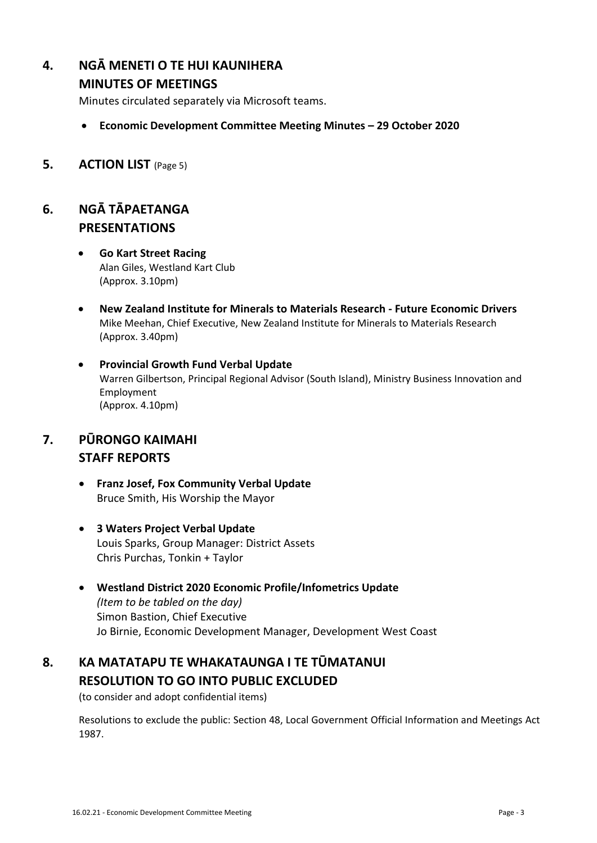### **4. NGĀ MENETI O TE HUI KAUNIHERA**

#### **MINUTES OF MEETINGS**

Minutes circulated separately via Microsoft teams.

- **Economic Development Committee Meeting Minutes 29 October 2020**
- **5. ACTION LIST** (Page 5)

### **6. NGĀ TĀPAETANGA PRESENTATIONS**

- **Go Kart Street Racing**  Alan Giles, Westland Kart Club (Approx. 3.10pm)
- **New Zealand Institute for Minerals to Materials Research Future Economic Drivers**  Mike Meehan, Chief Executive, New Zealand Institute for Minerals to Materials Research (Approx. 3.40pm)
- **Provincial Growth Fund Verbal Update**  Warren Gilbertson, Principal Regional Advisor (South Island), Ministry Business Innovation and Employment (Approx. 4.10pm)

## **7. PŪRONGO KAIMAHI STAFF REPORTS**

- **Franz Josef, Fox Community Verbal Update**  Bruce Smith, His Worship the Mayor
- **3 Waters Project Verbal Update**  Louis Sparks, Group Manager: District Assets Chris Purchas, Tonkin + Taylor
- **Westland District 2020 Economic Profile/Infometrics Update**  *(Item to be tabled on the day)*  Simon Bastion, Chief Executive Jo Birnie, Economic Development Manager, Development West Coast

### **8. KA MATATAPU TE WHAKATAUNGA I TE TŪMATANUI RESOLUTION TO GO INTO PUBLIC EXCLUDED**

(to consider and adopt confidential items)

Resolutions to exclude the public: Section 48, Local Government Official Information and Meetings Act 1987.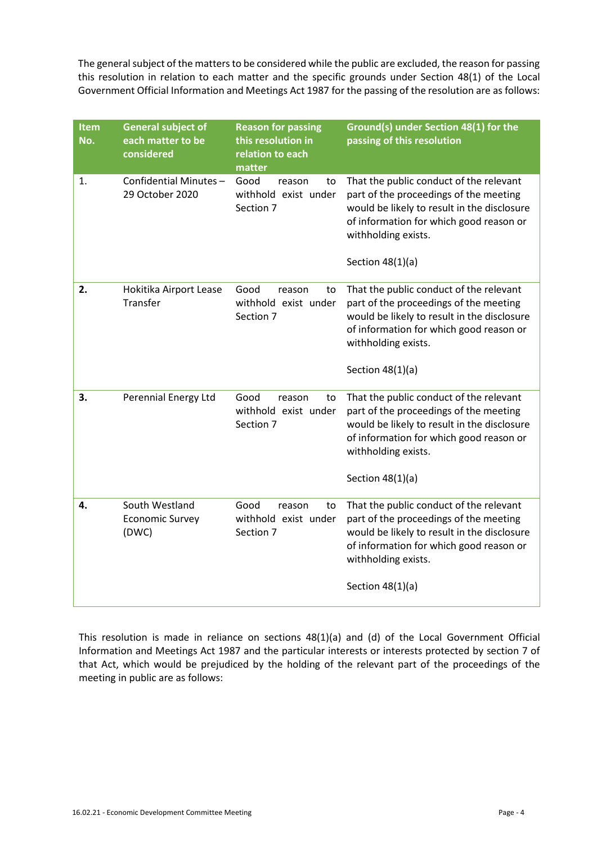The general subject of the matters to be considered while the public are excluded, the reason for passing this resolution in relation to each matter and the specific grounds under Section 48(1) of the Local Government Official Information and Meetings Act 1987 for the passing of the resolution are as follows:

| Item<br>No. | <b>General subject of</b><br>each matter to be<br>considered | <b>Reason for passing</b><br>this resolution in<br>relation to each<br>matter | Ground(s) under Section 48(1) for the<br>passing of this resolution                                                                                                                                                      |
|-------------|--------------------------------------------------------------|-------------------------------------------------------------------------------|--------------------------------------------------------------------------------------------------------------------------------------------------------------------------------------------------------------------------|
| 1.          | Confidential Minutes-<br>29 October 2020                     | Good<br>reason<br>to<br>withhold exist under<br>Section 7                     | That the public conduct of the relevant<br>part of the proceedings of the meeting<br>would be likely to result in the disclosure<br>of information for which good reason or<br>withholding exists.<br>Section $48(1)(a)$ |
| 2.          | Hokitika Airport Lease<br>Transfer                           | Good<br>reason<br>to<br>withhold exist under<br>Section 7                     | That the public conduct of the relevant<br>part of the proceedings of the meeting<br>would be likely to result in the disclosure<br>of information for which good reason or<br>withholding exists.<br>Section $48(1)(a)$ |
| 3.          | Perennial Energy Ltd                                         | Good<br>reason<br>to<br>withhold exist under<br>Section 7                     | That the public conduct of the relevant<br>part of the proceedings of the meeting<br>would be likely to result in the disclosure<br>of information for which good reason or<br>withholding exists.<br>Section $48(1)(a)$ |
| 4.          | South Westland<br><b>Economic Survey</b><br>(DWC)            | Good<br>reason<br>to<br>withhold exist under<br>Section 7                     | That the public conduct of the relevant<br>part of the proceedings of the meeting<br>would be likely to result in the disclosure<br>of information for which good reason or<br>withholding exists.<br>Section $48(1)(a)$ |

This resolution is made in reliance on sections 48(1)(a) and (d) of the Local Government Official Information and Meetings Act 1987 and the particular interests or interests protected by section 7 of that Act, which would be prejudiced by the holding of the relevant part of the proceedings of the meeting in public are as follows: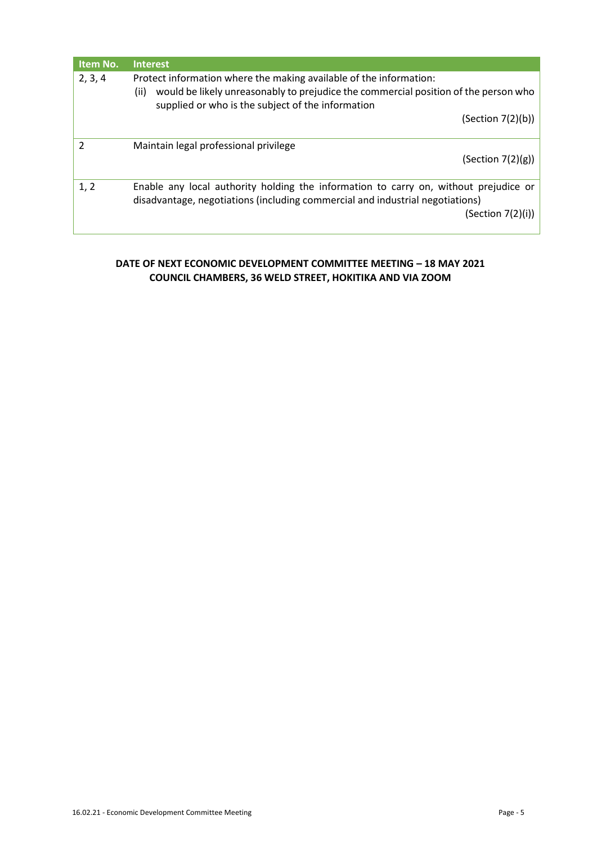| Item No. | <b>Interest</b>                                                                                                                                                                                                        |  |  |
|----------|------------------------------------------------------------------------------------------------------------------------------------------------------------------------------------------------------------------------|--|--|
| 2, 3, 4  | Protect information where the making available of the information:<br>would be likely unreasonably to prejudice the commercial position of the person who<br>(ii)<br>supplied or who is the subject of the information |  |  |
|          | (Section 7(2)(b))                                                                                                                                                                                                      |  |  |
| 2        | Maintain legal professional privilege<br>(Section 7(2)(g))                                                                                                                                                             |  |  |
| 1, 2     | Enable any local authority holding the information to carry on, without prejudice or<br>disadvantage, negotiations (including commercial and industrial negotiations)<br>(Section 7(2)(i))                             |  |  |

#### **DATE OF NEXT ECONOMIC DEVELOPMENT COMMITTEE MEETING – 18 MAY 2021 COUNCIL CHAMBERS, 36 WELD STREET, HOKITIKA AND VIA ZOOM**